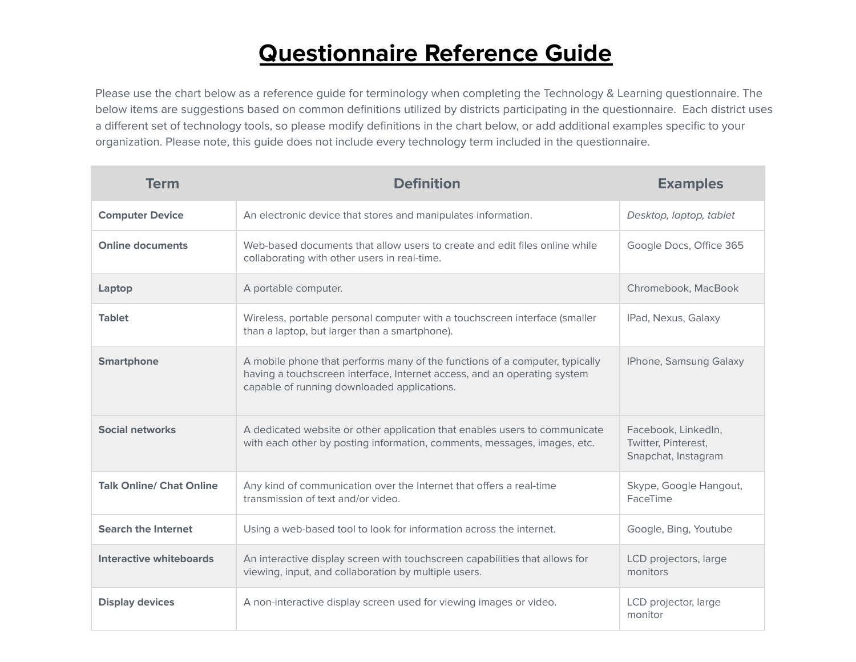## **Questionnaire Reference Guide**

Please use the chart below as a reference guide for terminology when completing the Technology & Learning questionnaire. The below items are suggestions based on common definitions utilized by districts participating in the questionnaire. Each district uses a different set of technology tools, so please modify definitions in the chart below, or add additional examples specific to your organization. Please note, this guide does not include every technology term included in the questionnaire.

| <b>Term</b>                     | <b>Definition</b>                                                                                                                                                                                      | <b>Examples</b>                                                   |
|---------------------------------|--------------------------------------------------------------------------------------------------------------------------------------------------------------------------------------------------------|-------------------------------------------------------------------|
| <b>Computer Device</b>          | An electronic device that stores and manipulates information.                                                                                                                                          | Desktop, laptop, tablet                                           |
| <b>Online documents</b>         | Web-based documents that allow users to create and edit files online while<br>collaborating with other users in real-time.                                                                             | Google Docs, Office 365                                           |
| Laptop                          | A portable computer.                                                                                                                                                                                   | Chromebook, MacBook                                               |
| <b>Tablet</b>                   | Wireless, portable personal computer with a touchscreen interface (smaller<br>than a laptop, but larger than a smartphone).                                                                            | IPad, Nexus, Galaxy                                               |
| <b>Smartphone</b>               | A mobile phone that performs many of the functions of a computer, typically<br>having a touchscreen interface, Internet access, and an operating system<br>capable of running downloaded applications. | IPhone, Samsung Galaxy                                            |
| <b>Social networks</b>          | A dedicated website or other application that enables users to communicate<br>with each other by posting information, comments, messages, images, etc.                                                 | Facebook, LinkedIn,<br>Twitter, Pinterest,<br>Snapchat, Instagram |
| <b>Talk Online/ Chat Online</b> | Any kind of communication over the Internet that offers a real-time<br>transmission of text and/or video.                                                                                              | Skype, Google Hangout,<br>FaceTime                                |
| <b>Search the Internet</b>      | Using a web-based tool to look for information across the internet.                                                                                                                                    | Google, Bing, Youtube                                             |
| <b>Interactive whiteboards</b>  | An interactive display screen with touchscreen capabilities that allows for<br>viewing, input, and collaboration by multiple users.                                                                    | LCD projectors, large<br>monitors                                 |
| <b>Display devices</b>          | A non-interactive display screen used for viewing images or video.                                                                                                                                     | LCD projector, large<br>monitor                                   |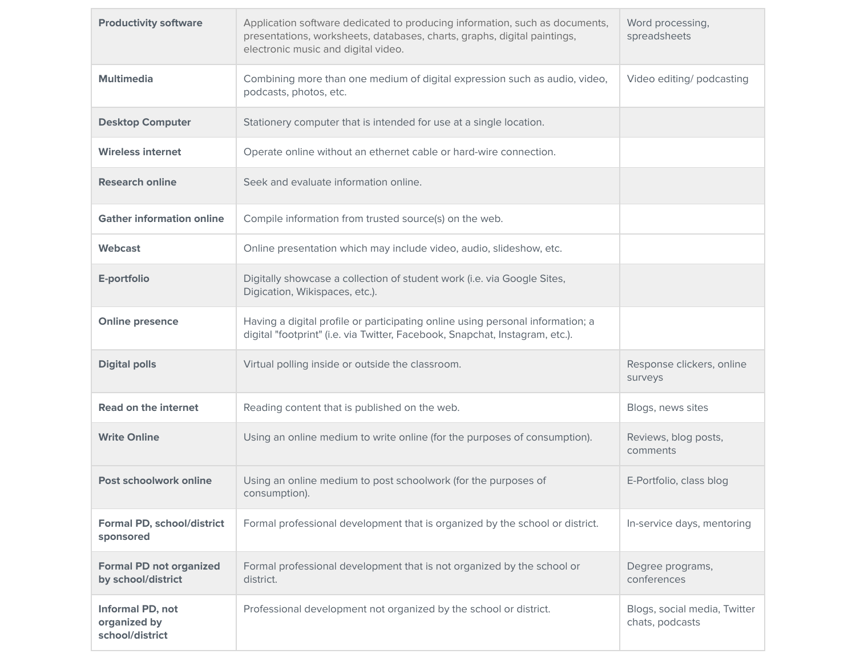| <b>Productivity software</b>                         | Application software dedicated to producing information, such as documents,<br>presentations, worksheets, databases, charts, graphs, digital paintings,<br>electronic music and digital video. | Word processing,<br>spreadsheets                |
|------------------------------------------------------|------------------------------------------------------------------------------------------------------------------------------------------------------------------------------------------------|-------------------------------------------------|
| <b>Multimedia</b>                                    | Combining more than one medium of digital expression such as audio, video,<br>podcasts, photos, etc.                                                                                           | Video editing/ podcasting                       |
| <b>Desktop Computer</b>                              | Stationery computer that is intended for use at a single location.                                                                                                                             |                                                 |
| <b>Wireless internet</b>                             | Operate online without an ethernet cable or hard-wire connection.                                                                                                                              |                                                 |
| <b>Research online</b>                               | Seek and evaluate information online.                                                                                                                                                          |                                                 |
| <b>Gather information online</b>                     | Compile information from trusted source(s) on the web.                                                                                                                                         |                                                 |
| <b>Webcast</b>                                       | Online presentation which may include video, audio, slideshow, etc.                                                                                                                            |                                                 |
| E-portfolio                                          | Digitally showcase a collection of student work (i.e. via Google Sites,<br>Digication, Wikispaces, etc.).                                                                                      |                                                 |
| <b>Online presence</b>                               | Having a digital profile or participating online using personal information; a<br>digital "footprint" (i.e. via Twitter, Facebook, Snapchat, Instagram, etc.).                                 |                                                 |
| <b>Digital polls</b>                                 | Virtual polling inside or outside the classroom.                                                                                                                                               | Response clickers, online<br>surveys            |
| <b>Read on the internet</b>                          | Reading content that is published on the web.                                                                                                                                                  | Blogs, news sites                               |
| <b>Write Online</b>                                  | Using an online medium to write online (for the purposes of consumption).                                                                                                                      | Reviews, blog posts,<br>comments                |
| Post schoolwork online                               | Using an online medium to post schoolwork (for the purposes of<br>consumption).                                                                                                                | E-Portfolio, class blog                         |
| <b>Formal PD, school/district</b><br>sponsored       | Formal professional development that is organized by the school or district.                                                                                                                   | In-service days, mentoring                      |
| <b>Formal PD not organized</b><br>by school/district | Formal professional development that is not organized by the school or<br>district.                                                                                                            | Degree programs,<br>conferences                 |
| Informal PD, not<br>organized by<br>school/district  | Professional development not organized by the school or district.                                                                                                                              | Blogs, social media, Twitter<br>chats, podcasts |